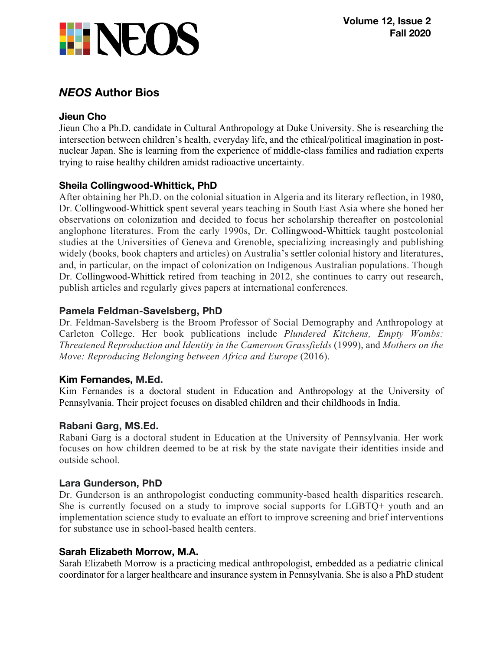

# *NEOS* **Author Bios**

## **Jieun Cho**

Jieun Cho a Ph.D. candidate in Cultural Anthropology at Duke University. She is researching the intersection between children's health, everyday life, and the ethical/political imagination in postnuclear Japan. She is learning from the experience of middle-class families and radiation experts trying to raise healthy children amidst radioactive uncertainty.

## **Sheila Collingwood-Whittick, PhD**

After obtaining her Ph.D. on the colonial situation in Algeria and its literary reflection, in 1980, Dr. Collingwood-Whittick spent several years teaching in South East Asia where she honed her observations on colonization and decided to focus her scholarship thereafter on postcolonial anglophone literatures. From the early 1990s, Dr. Collingwood-Whittick taught postcolonial studies at the Universities of Geneva and Grenoble, specializing increasingly and publishing widely (books, book chapters and articles) on Australia's settler colonial history and literatures, and, in particular, on the impact of colonization on Indigenous Australian populations. Though Dr. Collingwood-Whittick retired from teaching in 2012, she continues to carry out research, publish articles and regularly gives papers at international conferences.

## **Pamela Feldman-Savelsberg, PhD**

Dr. Feldman-Savelsberg is the Broom Professor of Social Demography and Anthropology at Carleton College. Her book publications include *Plundered Kitchens, Empty Wombs: Threatened Reproduction and Identity in the Cameroon Grassfields* (1999), and *Mothers on the Move: Reproducing Belonging between Africa and Europe* (2016).

## **Kim Fernandes, M.Ed.**

Kim Fernandes is a doctoral student in Education and Anthropology at the University of Pennsylvania. Their project focuses on disabled children and their childhoods in India.

## **Rabani Garg, MS.Ed.**

Rabani Garg is a doctoral student in Education at the University of Pennsylvania. Her work focuses on how children deemed to be at risk by the state navigate their identities inside and outside school.

## **Lara Gunderson, PhD**

Dr. Gunderson is an anthropologist conducting community-based health disparities research. She is currently focused on a study to improve social supports for LGBTQ+ youth and an implementation science study to evaluate an effort to improve screening and brief interventions for substance use in school-based health centers.

## **Sarah Elizabeth Morrow, M.A.**

Sarah Elizabeth Morrow is a practicing medical anthropologist, embedded as a pediatric clinical coordinator for a larger healthcare and insurance system in Pennsylvania. She is also a PhD student